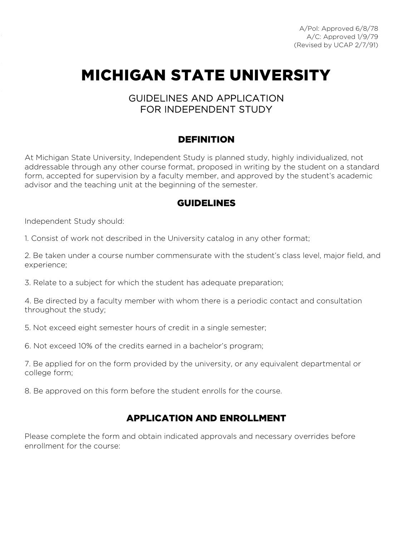A/Pol: Approved 6/8/78 A/C: Approved 1/9/79 (Revised by UCAP 2/7/91)

# MICHIGAN STATE UNIVERSITY

#### GUIDELINES AND APPLICATION FOR INDEPENDENT STUDY

#### DEFINITION

 addressable through any other course format, proposed in writing by the student on a standard form, accepted for supervision by a faculty member, and approved by the student's academic At Michigan State University, Independent Study is planned study, highly individualized, not advisor and the teaching unit at the beginning of the semester.

#### GUIDELINES

Independent Study should:

1. Consist of work not described in the University catalog in any other format;

2. Be taken under a course number commensurate with the student's class level, major field, and experience;

3. Relate to a subject for which the student has adequate preparation;

4. Be directed by a faculty member with whom there is a periodic contact and consultation throughout the study;

5. Not exceed eight semester hours of credit in a single semester;

6. Not exceed 10% of the credits earned in a bachelor's program;

7. Be applied for on the form provided by the university, or any equivalent departmental or college form;

8. Be approved on this form before the student enrolls for the course.

### APPLICATION AND ENROLLMENT

 enrollment for the course: Please complete the form and obtain indicated approvals and necessary overrides before